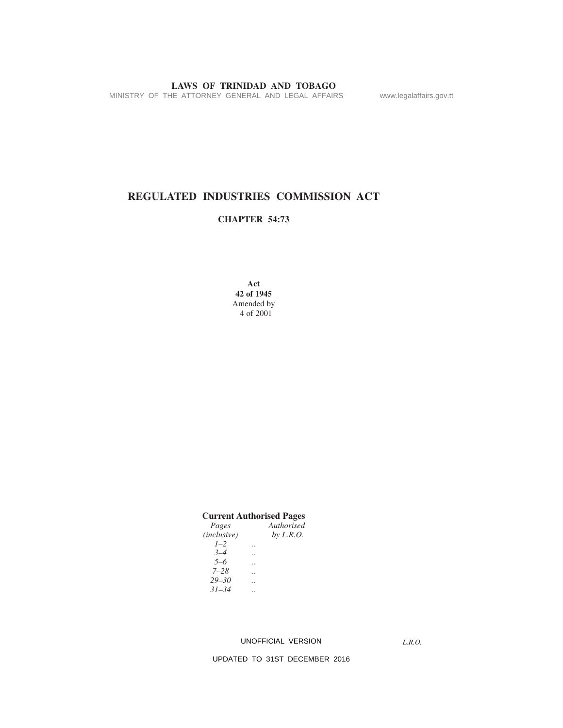MINISTRY OF THE ATTORNEY GENERAL AND LEGAL AFFAIRS www.legalaffairs.gov.tt

# **REGULATED INDUSTRIES COMMISSION ACT**

### **CHAPTER 54:73**

**Act 42 of 1945** Amended by 4 of 2001

| <b>Current Authorised Pages</b> |  |             |  |
|---------------------------------|--|-------------|--|
| Pages                           |  | Authorised  |  |
| (inclusive)                     |  | by $L.R.O.$ |  |
| $1 - 2$                         |  |             |  |
| $3 - 4$                         |  |             |  |
| $5 - 6$                         |  |             |  |
| 7–28                            |  |             |  |
| $29 - 30$                       |  |             |  |
| $31 - 34$                       |  |             |  |
|                                 |  |             |  |

#### UNOFFICIAL VERSION

*L.R.O.*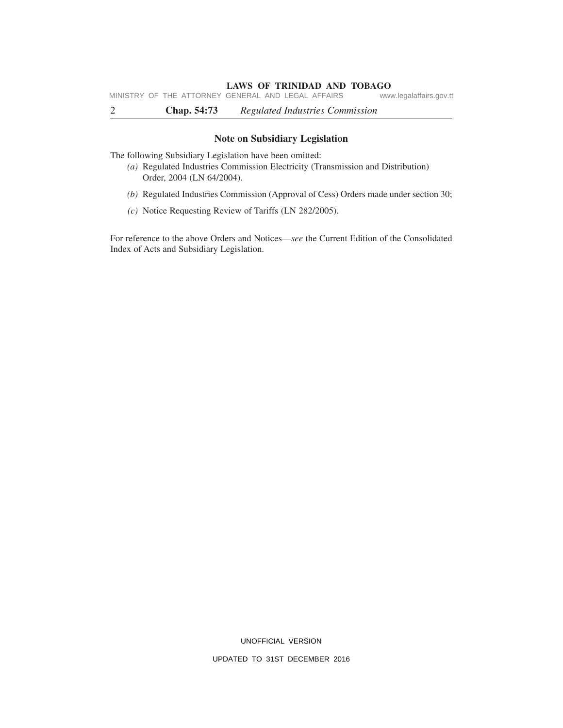**LAWS OF TRINIDAD AND TOBAGO**<br>GENERAL AND LEGAL AFFAIRS www.legalaffairs.gov.tt MINISTRY OF THE ATTORNEY GENERAL AND LEGAL AFFAIRS

2 **Chap. 54:73** *Regulated Industries Commission*

#### **Note on Subsidiary Legislation**

The following Subsidiary Legislation have been omitted:

- *(a)* Regulated Industries Commission Electricity (Transmission and Distribution) Order, 2004 (LN 64/2004).
- *(b)* Regulated Industries Commission (Approval of Cess) Orders made under section 30;
- *(c)* Notice Requesting Review of Tariffs (LN 282/2005).

For reference to the above Orders and Notices—*see* the Current Edition of the Consolidated Index of Acts and Subsidiary Legislation.

UNOFFICIAL VERSION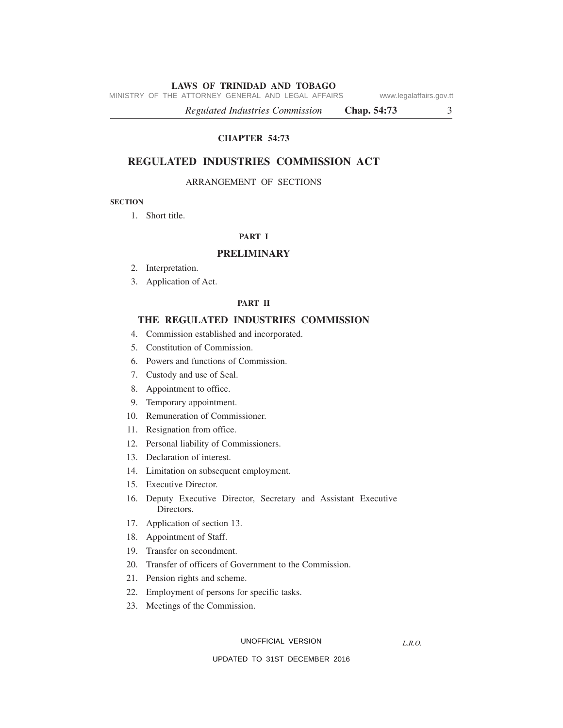MINISTRY OF THE ATTORNEY GENERAL AND LEGAL AFFAIRS www.legalaffairs.gov.tt

*Regulated Industries Commission* **Chap. 54:73** 3

**CHAPTER 54:73**

## **REGULATED INDUSTRIES COMMISSION ACT**

#### ARRANGEMENT OF SECTIONS

#### **SECTION**

1. Short title.

#### **PART I**

#### **PRELIMINARY**

- 2. Interpretation.
- 3. Application of Act.

#### **PART II**

#### **THE REGULATED INDUSTRIES COMMISSION**

- 4. Commission established and incorporated.
- 5. Constitution of Commission.
- 6. Powers and functions of Commission.
- 7. Custody and use of Seal.
- 8. Appointment to office.
- 9. Temporary appointment.
- 10. Remuneration of Commissioner.
- 11. Resignation from office.
- 12. Personal liability of Commissioners.
- 13. Declaration of interest.
- 14. Limitation on subsequent employment.
- 15. Executive Director.
- 16. Deputy Executive Director, Secretary and Assistant Executive Directors.
- 17. Application of section 13.
- 18. Appointment of Staff.
- 19. Transfer on secondment.
- 20. Transfer of officers of Government to the Commission.
- 21. Pension rights and scheme.
- 22. Employment of persons for specific tasks.
- 23. Meetings of the Commission.

UNOFFICIAL VERSION

*L.R.O.*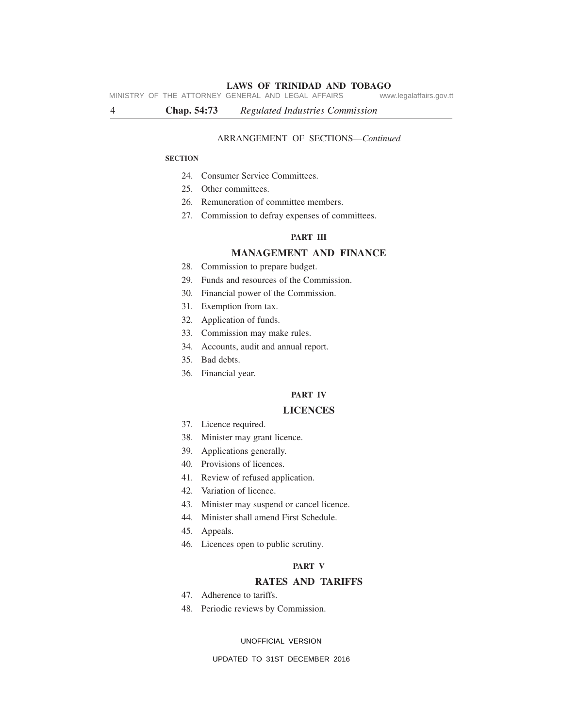MINISTRY OF THE ATTORNEY GENERAL AND LEGAL AFFAIRS www.legalaffairs.gov.tt

4 **Chap. 54:73** *Regulated Industries Commission*

#### ARRANGEMENT OF SECTIONS—*Continued*

#### **SECTION**

- 24. Consumer Service Committees.
- 25. Other committees.
- 26. Remuneration of committee members.
- 27. Commission to defray expenses of committees.

#### **PART III**

### **MANAGEMENT AND FINANCE**

- 28. Commission to prepare budget.
- 29. Funds and resources of the Commission.
- 30. Financial power of the Commission.
- 31. Exemption from tax.
- 32. Application of funds.
- 33. Commission may make rules.
- 34. Accounts, audit and annual report.
- 35. Bad debts.
- 36. Financial year.

#### **PART IV**

#### **LICENCES**

- 37. Licence required.
- 38. Minister may grant licence.
- 39. Applications generally.
- 40. Provisions of licences.
- 41. Review of refused application.
- 42. Variation of licence.
- 43. Minister may suspend or cancel licence.
- 44. Minister shall amend First Schedule.
- 45. Appeals.
- 46. Licences open to public scrutiny.

#### **PART V**

### **RATES AND TARIFFS**

- 47. Adherence to tariffs.
- 48. Periodic reviews by Commission.

#### UNOFFICIAL VERSION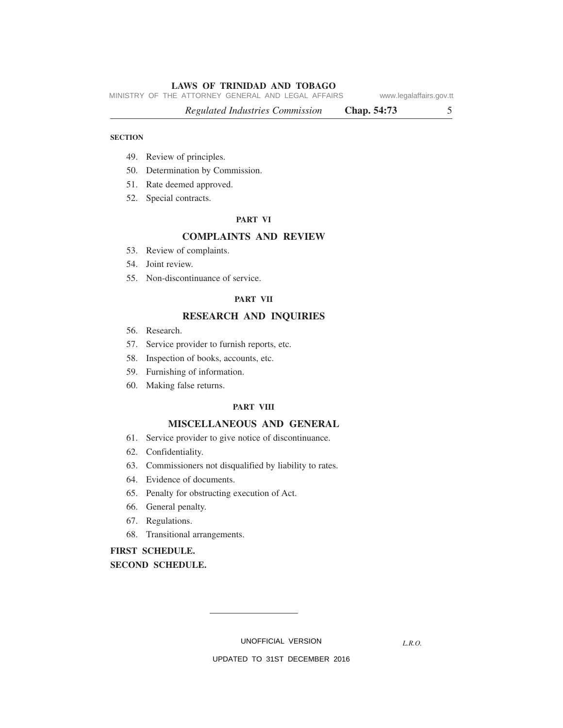MINISTRY OF THE ATTORNEY GENERAL AND LEGAL AFFAIRS www.legalaffairs.gov.tt

*Regulated Industries Commission* **Chap. 54:73** 5

#### **SECTION**

- 49. Review of principles.
- 50. Determination by Commission.
- 51. Rate deemed approved.
- 52. Special contracts.

#### **PART VI**

#### **COMPLAINTS AND REVIEW**

- 53. Review of complaints.
- 54. Joint review.
- 55. Non-discontinuance of service.

#### **PART VII**

#### **RESEARCH AND INQUIRIES**

- 56. Research.
- 57. Service provider to furnish reports, etc.
- 58. Inspection of books, accounts, etc.
- 59. Furnishing of information.
- 60. Making false returns.

#### **PART VIII**

#### **MISCELLANEOUS AND GENERAL**

- 61. Service provider to give notice of discontinuance.
- 62. Confidentiality.
- 63. Commissioners not disqualified by liability to rates.
- 64. Evidence of documents.
- 65. Penalty for obstructing execution of Act.
- 66. General penalty.
- 67. Regulations.
- 68. Transitional arrangements.

# **FIRST SCHEDULE.**

**SECOND SCHEDULE.**

UNOFFICIAL VERSION

*L.R.O.*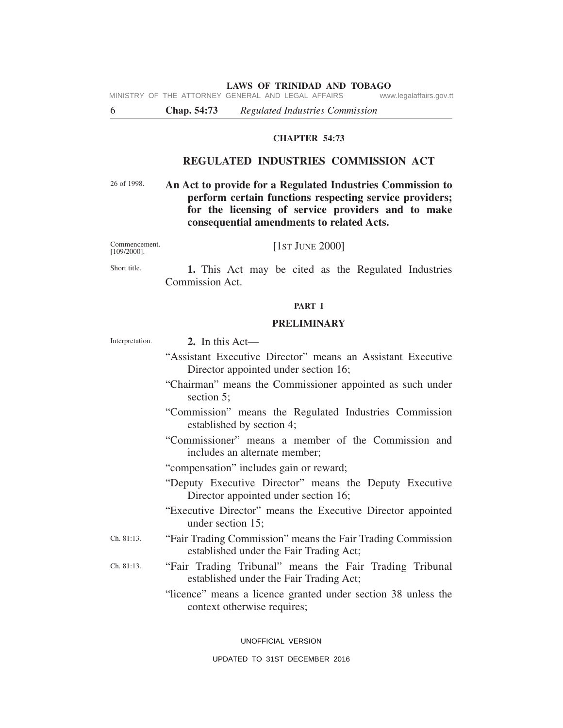MINISTRY OF THE ATTORNEY GENERAL AND LEGAL AFFAIRS www.legalaffairs.gov.tt

6 **Chap. 54:73** *Regulated Industries Commission*

#### **CHAPTER 54:73**

#### **REGULATED INDUSTRIES COMMISSION ACT**

26 of 1998.

**An Act to provide for a Regulated Industries Commission to perform certain functions respecting service providers; for the licensing of service providers and to make consequential amendments to related Acts.**

Commencement. [109/2000]. [1ST JUNE 2000]

Short title. **1.** This Act may be cited as the Regulated Industries Commission Act.

#### **PART I**

#### **PRELIMINARY**

| Interpretation. | 2. In this $Act$ —                                                                                     |
|-----------------|--------------------------------------------------------------------------------------------------------|
|                 | "Assistant Executive Director" means an Assistant Executive<br>Director appointed under section 16;    |
|                 | "Chairman" means the Commissioner appointed as such under<br>section 5;                                |
|                 | "Commission" means the Regulated Industries Commission<br>established by section 4;                    |
|                 | "Commissioner" means a member of the Commission and<br>includes an alternate member;                   |
|                 | "compensation" includes gain or reward;                                                                |
|                 | "Deputy Executive Director" means the Deputy Executive<br>Director appointed under section 16;         |
|                 | "Executive Director" means the Executive Director appointed<br>under section 15;                       |
| Ch. 81:13.      | "Fair Trading Commission" means the Fair Trading Commission<br>established under the Fair Trading Act; |
| Ch. 81:13.      | "Fair Trading Tribunal" means the Fair Trading Tribunal<br>established under the Fair Trading Act;     |
|                 | "licence" means a licence granted under section 38 unless the<br>context otherwise requires;           |
|                 |                                                                                                        |

UNOFFICIAL VERSION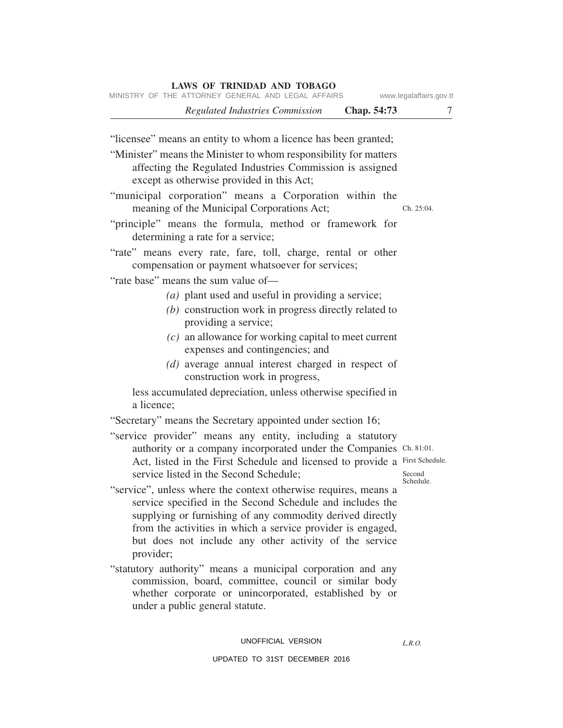| MINISTRY OF THE ATTORNEY GENERAL AND LEGAL AFFAIRS                                                                                                                                                                                                                                                                              | www.legalaffairs.gov.tt |
|---------------------------------------------------------------------------------------------------------------------------------------------------------------------------------------------------------------------------------------------------------------------------------------------------------------------------------|-------------------------|
| <b>Regulated Industries Commission</b><br>Chap. 54:73                                                                                                                                                                                                                                                                           | 7                       |
| "licensee" means an entity to whom a licence has been granted;<br>"Minister" means the Minister to whom responsibility for matters<br>affecting the Regulated Industries Commission is assigned<br>except as otherwise provided in this Act;                                                                                    |                         |
| "municipal corporation" means a Corporation within the<br>meaning of the Municipal Corporations Act;<br>"principle" means the formula, method or framework for                                                                                                                                                                  | Ch. 25:04.              |
| determining a rate for a service;                                                                                                                                                                                                                                                                                               |                         |
| "rate" means every rate, fare, toll, charge, rental or other<br>compensation or payment whatsoever for services;                                                                                                                                                                                                                |                         |
| "rate base" means the sum value of-<br>$(a)$ plant used and useful in providing a service;<br>(b) construction work in progress directly related to<br>providing a service;                                                                                                                                                     |                         |
| $(c)$ an allowance for working capital to meet current<br>expenses and contingencies; and                                                                                                                                                                                                                                       |                         |
| (d) average annual interest charged in respect of<br>construction work in progress,                                                                                                                                                                                                                                             |                         |
| less accumulated depreciation, unless otherwise specified in<br>a licence;                                                                                                                                                                                                                                                      |                         |
| "Secretary" means the Secretary appointed under section 16;                                                                                                                                                                                                                                                                     |                         |
| "service provider" means any entity, including a statutory<br>authority or a company incorporated under the Companies Ch. 81:01.<br>Act, listed in the First Schedule and licensed to provide a First Schedule.<br>service listed in the Second Schedule;                                                                       | Second<br>Schedule.     |
| "service", unless where the context otherwise requires, means a<br>service specified in the Second Schedule and includes the<br>supplying or furnishing of any commodity derived directly<br>from the activities in which a service provider is engaged,<br>but does not include any other activity of the service<br>provider; |                         |
| "statutory authority" means a municipal corporation and any<br>commission, board, committee, council or similar body<br>whether corporate or unincorporated, established by or<br>under a public general statute.                                                                                                               |                         |

#### UNOFFICIAL VERSION

#### UPDATED TO 31ST DECEMBER 2016

*L.R.O.*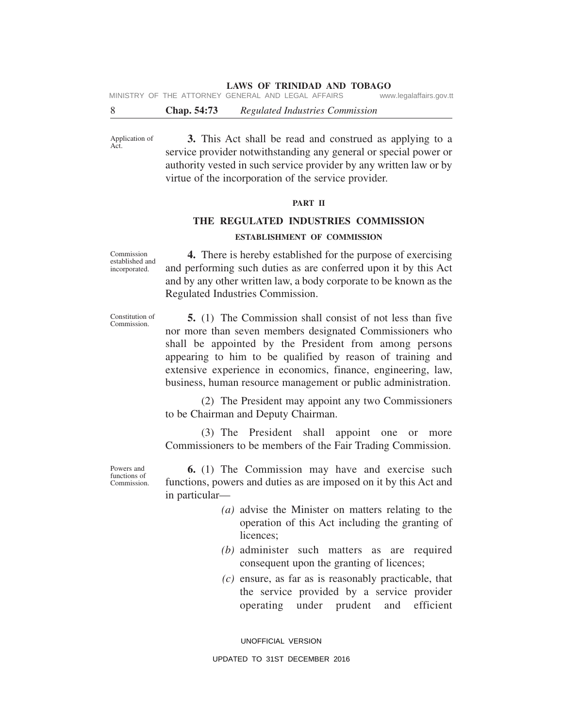MINISTRY OF THE ATTORNEY GENERAL AND LEGAL AFFAIRS www.legalaffairs.gov.tt

8 **Chap. 54:73** *Regulated Industries Commission*

Application of Act. **3.** This Act shall be read and construed as applying to a service provider notwithstanding any general or special power or authority vested in such service provider by any written law or by virtue of the incorporation of the service provider.

#### **PART II**

# **THE REGULATED INDUSTRIES COMMISSION ESTABLISHMENT OF COMMISSION**

Commission established and incorporated.

**4.** There is hereby established for the purpose of exercising and performing such duties as are conferred upon it by this Act and by any other written law, a body corporate to be known as the Regulated Industries Commission.

Constitution of Commission.

**5.** (1) The Commission shall consist of not less than five nor more than seven members designated Commissioners who shall be appointed by the President from among persons appearing to him to be qualified by reason of training and extensive experience in economics, finance, engineering, law, business, human resource management or public administration.

(2) The President may appoint any two Commissioners to be Chairman and Deputy Chairman.

(3) The President shall appoint one or more Commissioners to be members of the Fair Trading Commission.

Powers and functions of Commission.

**6.** (1) The Commission may have and exercise such functions, powers and duties as are imposed on it by this Act and in particular—

- *(a)* advise the Minister on matters relating to the operation of this Act including the granting of licences;
- *(b)* administer such matters as are required consequent upon the granting of licences;
- *(c)* ensure, as far as is reasonably practicable, that the service provided by a service provider operating under prudent and efficient

UNOFFICIAL VERSION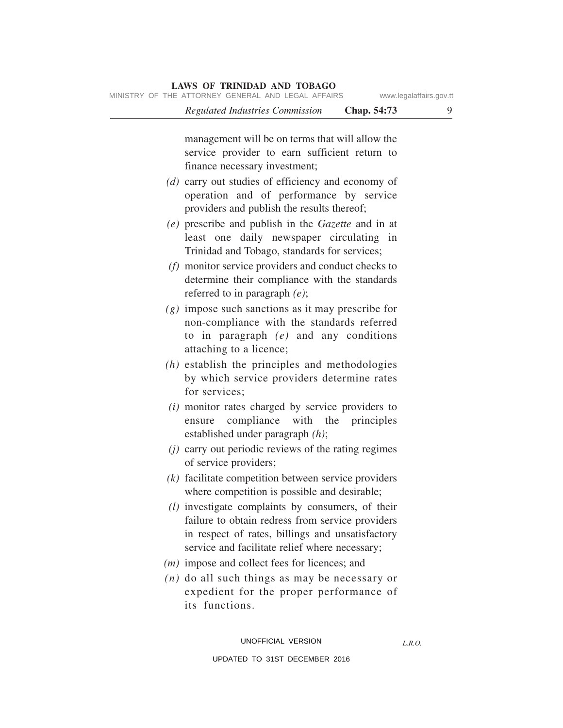| Chap. 54:73<br>Regulated Industries Commission                                                                                                                                                                | 9 |
|---------------------------------------------------------------------------------------------------------------------------------------------------------------------------------------------------------------|---|
| management will be on terms that will allow the<br>service provider to earn sufficient return to<br>finance necessary investment;                                                                             |   |
| $(d)$ carry out studies of efficiency and economy of<br>operation and of performance by service<br>providers and publish the results thereof;                                                                 |   |
| (e) prescribe and publish in the Gazette and in at<br>least one daily newspaper circulating in<br>Trinidad and Tobago, standards for services;                                                                |   |
| $(f)$ monitor service providers and conduct checks to<br>determine their compliance with the standards<br>referred to in paragraph $(e)$ ;                                                                    |   |
| $(g)$ impose such sanctions as it may prescribe for<br>non-compliance with the standards referred<br>to in paragraph $(e)$ and any conditions<br>attaching to a licence;                                      |   |
| $(h)$ establish the principles and methodologies<br>by which service providers determine rates<br>for services;                                                                                               |   |
| ( <i>i</i> ) monitor rates charged by service providers to<br>compliance with the principles<br>ensure<br>established under paragraph $(h)$ ;                                                                 |   |
| $(i)$ carry out periodic reviews of the rating regimes<br>of service providers;                                                                                                                               |   |
| $(k)$ facilitate competition between service providers<br>where competition is possible and desirable;                                                                                                        |   |
| $(l)$ investigate complaints by consumers, of their<br>failure to obtain redress from service providers<br>in respect of rates, billings and unsatisfactory<br>service and facilitate relief where necessary; |   |
| $(m)$ impose and collect fees for licences; and                                                                                                                                                               |   |
| $(n)$ do all such things as may be necessary or<br>expedient for the proper performance of<br>its functions.                                                                                                  |   |

*L.R.O.*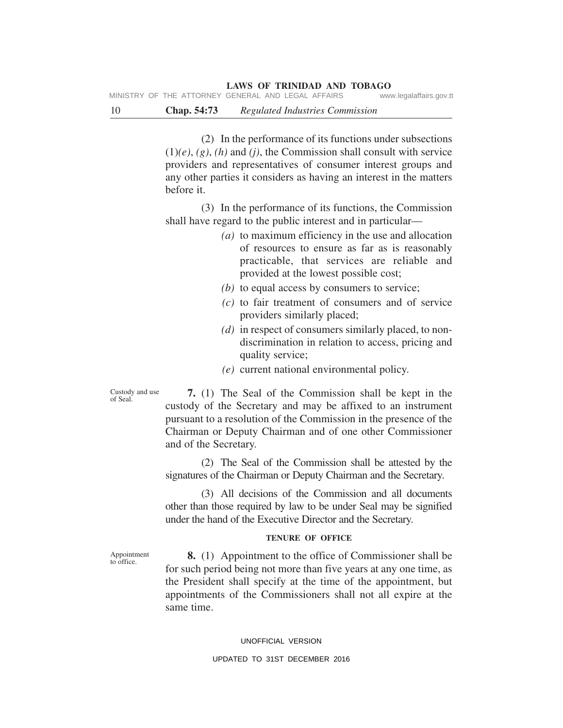10 **Chap. 54:73** *Regulated Industries Commission*

(2) In the performance of its functions under subsections (1)*(e)*, *(g)*, *(h)* and *(j)*, the Commission shall consult with service providers and representatives of consumer interest groups and any other parties it considers as having an interest in the matters before it.

(3) In the performance of its functions, the Commission shall have regard to the public interest and in particular—

- *(a)* to maximum efficiency in the use and allocation of resources to ensure as far as is reasonably practicable, that services are reliable and provided at the lowest possible cost;
- *(b)* to equal access by consumers to service;
- *(c)* to fair treatment of consumers and of service providers similarly placed;
- *(d)* in respect of consumers similarly placed, to nondiscrimination in relation to access, pricing and quality service;
- *(e)* current national environmental policy.

Custody and use of Seal.

**7.** (1) The Seal of the Commission shall be kept in the custody of the Secretary and may be affixed to an instrument pursuant to a resolution of the Commission in the presence of the Chairman or Deputy Chairman and of one other Commissioner and of the Secretary.

(2) The Seal of the Commission shall be attested by the signatures of the Chairman or Deputy Chairman and the Secretary.

(3) All decisions of the Commission and all documents other than those required by law to be under Seal may be signified under the hand of the Executive Director and the Secretary.

#### **TENURE OF OFFICE**

**8.** (1) Appointment to the office of Commissioner shall be for such period being not more than five years at any one time, as the President shall specify at the time of the appointment, but appointments of the Commissioners shall not all expire at the same time.

#### UNOFFICIAL VERSION

#### UPDATED TO 31ST DECEMBER 2016

Appointment to office.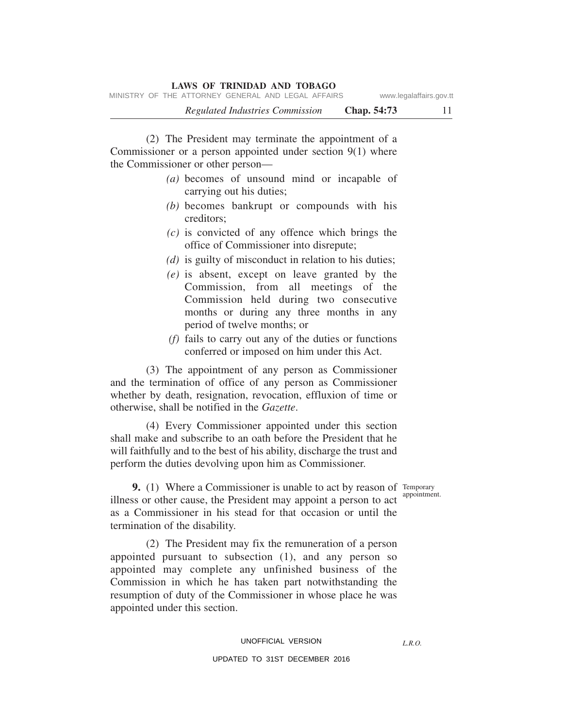(2) The President may terminate the appointment of a Commissioner or a person appointed under section 9(1) where the Commissioner or other person—

- *(a)* becomes of unsound mind or incapable of carrying out his duties;
- *(b)* becomes bankrupt or compounds with his creditors;
- *(c)* is convicted of any offence which brings the office of Commissioner into disrepute;
- *(d)* is guilty of misconduct in relation to his duties;
- *(e)* is absent, except on leave granted by the Commission, from all meetings of the Commission held during two consecutive months or during any three months in any period of twelve months; or
- *(f)* fails to carry out any of the duties or functions conferred or imposed on him under this Act.

(3) The appointment of any person as Commissioner and the termination of office of any person as Commissioner whether by death, resignation, revocation, effluxion of time or otherwise, shall be notified in the *Gazette*.

(4) Every Commissioner appointed under this section shall make and subscribe to an oath before the President that he will faithfully and to the best of his ability, discharge the trust and perform the duties devolving upon him as Commissioner.

appointment.

*L.R.O.* 

**9.** (1) Where a Commissioner is unable to act by reason of Temporary illness or other cause, the President may appoint a person to act as a Commissioner in his stead for that occasion or until the termination of the disability.

(2) The President may fix the remuneration of a person appointed pursuant to subsection (1), and any person so appointed may complete any unfinished business of the Commission in which he has taken part notwithstanding the resumption of duty of the Commissioner in whose place he was appointed under this section.

#### UNOFFICIAL VERSION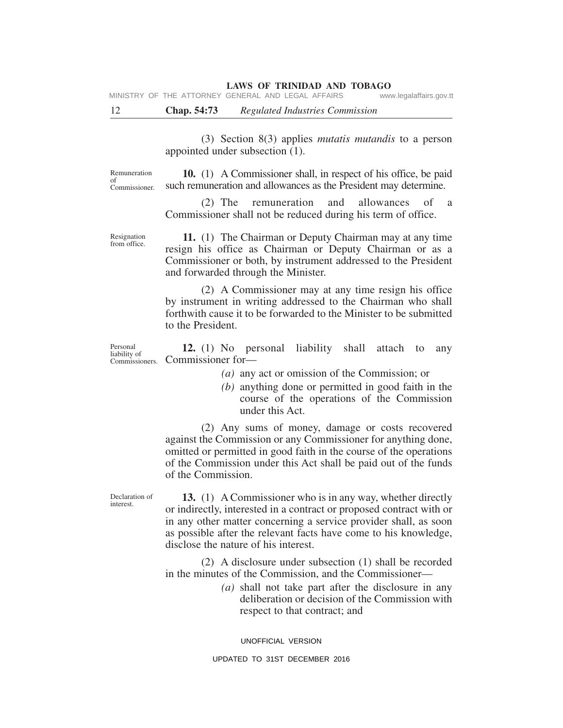MINISTRY OF THE ATTORNEY GENERAL AND LEGAL AFFAIRS www.legalaffairs.gov.tt

12 **Chap. 54:73** *Regulated Industries Commission*

(3) Section 8(3) applies *mutatis mutandis* to a person appointed under subsection (1).

Remuneration of Commissioner.

**10.** (1) A Commissioner shall, in respect of his office, be paid such remuneration and allowances as the President may determine.

(2) The remuneration and allowances of a Commissioner shall not be reduced during his term of office.

Resignation from office.

**11.** (1) The Chairman or Deputy Chairman may at any time resign his office as Chairman or Deputy Chairman or as a Commissioner or both, by instrument addressed to the President and forwarded through the Minister.

(2) A Commissioner may at any time resign his office by instrument in writing addressed to the Chairman who shall forthwith cause it to be forwarded to the Minister to be submitted to the President.

Personal liability of Commissioners. **12.** (1) No personal liability shall attach to any Commissioner for—

*(a)* any act or omission of the Commission; or

*(b)* anything done or permitted in good faith in the course of the operations of the Commission under this Act.

(2) Any sums of money, damage or costs recovered against the Commission or any Commissioner for anything done, omitted or permitted in good faith in the course of the operations of the Commission under this Act shall be paid out of the funds of the Commission.

Declaration of interest.

**13.** (1) A Commissioner who is in any way, whether directly or indirectly, interested in a contract or proposed contract with or in any other matter concerning a service provider shall, as soon as possible after the relevant facts have come to his knowledge, disclose the nature of his interest.

(2) A disclosure under subsection (1) shall be recorded in the minutes of the Commission, and the Commissioner—

> *(a)* shall not take part after the disclosure in any deliberation or decision of the Commission with respect to that contract; and

UNOFFICIAL VERSION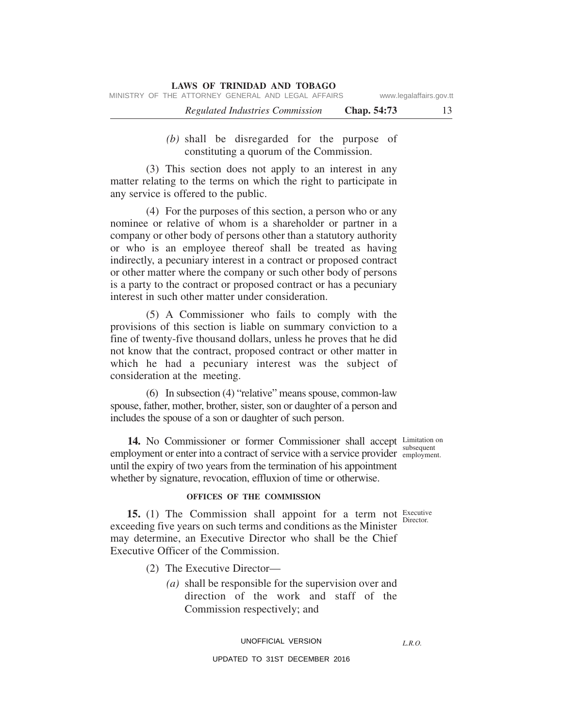| <b>LAWS OF TRINIDAD AND TOBAGO</b>                 |                         |  |  |
|----------------------------------------------------|-------------------------|--|--|
| MINISTRY OF THE ATTORNEY GENERAL AND LEGAL AFFAIRS | www.legalaffairs.gov.tt |  |  |
| Regulated Industries Commission                    | Chap. 54:73             |  |  |

*(b)* shall be disregarded for the purpose of constituting a quorum of the Commission.

(3) This section does not apply to an interest in any matter relating to the terms on which the right to participate in any service is offered to the public.

(4) For the purposes of this section, a person who or any nominee or relative of whom is a shareholder or partner in a company or other body of persons other than a statutory authority or who is an employee thereof shall be treated as having indirectly, a pecuniary interest in a contract or proposed contract or other matter where the company or such other body of persons is a party to the contract or proposed contract or has a pecuniary interest in such other matter under consideration.

(5) A Commissioner who fails to comply with the provisions of this section is liable on summary conviction to a fine of twenty-five thousand dollars, unless he proves that he did not know that the contract, proposed contract or other matter in which he had a pecuniary interest was the subject of consideration at the meeting.

(6) In subsection (4) "relative" means spouse, common-law spouse, father, mother, brother, sister, son or daughter of a person and includes the spouse of a son or daughter of such person.

14. No Commissioner or former Commissioner shall accept Limitation on employment or enter into a contract of service with a service provider employment. until the expiry of two years from the termination of his appointment whether by signature, revocation, effluxion of time or otherwise.

#### **OFFICES OF THE COMMISSION**

**15.** (1) The Commission shall appoint for a term not Executive exceeding five years on such terms and conditions as the Minister may determine, an Executive Director who shall be the Chief Executive Officer of the Commission.

- (2) The Executive Director—
	- *(a)* shall be responsible for the supervision over and direction of the work and staff of the Commission respectively; and

#### UNOFFICIAL VERSION

#### UPDATED TO 31ST DECEMBER 2016

subsequent

Director.

*L.R.O.*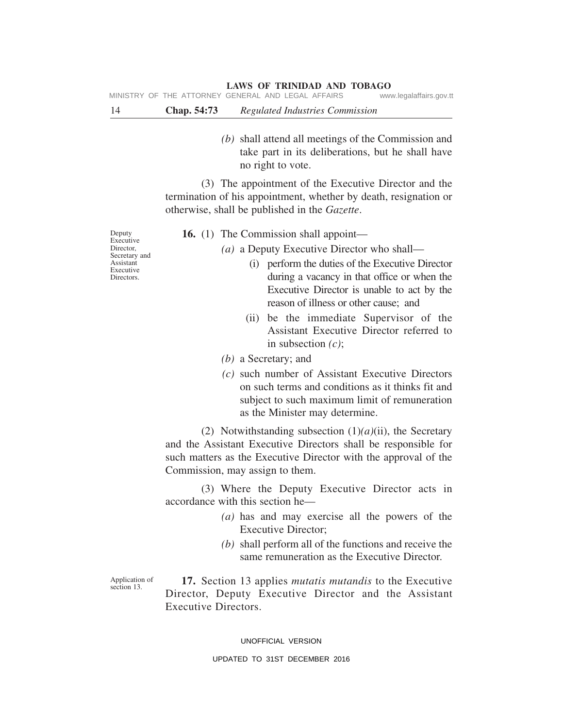MINISTRY OF THE ATTORNEY GENERAL AND LEGAL AFFAIRS www.legalaffairs.gov.tt

14 **Chap. 54:73** *Regulated Industries Commission*

*(b)* shall attend all meetings of the Commission and take part in its deliberations, but he shall have no right to vote.

(3) The appointment of the Executive Director and the termination of his appointment, whether by death, resignation or otherwise, shall be published in the *Gazette*.

Deputy Executive Director, Secretary and Assistant Executive Directors.

- **16.** (1) The Commission shall appoint—
	- *(a)* a Deputy Executive Director who shall—
		- (i) perform the duties of the Executive Director during a vacancy in that office or when the Executive Director is unable to act by the reason of illness or other cause; and
		- (ii) be the immediate Supervisor of the Assistant Executive Director referred to in subsection *(c)*;
	- *(b)* a Secretary; and
	- *(c)* such number of Assistant Executive Directors on such terms and conditions as it thinks fit and subject to such maximum limit of remuneration as the Minister may determine.

(2) Notwithstanding subsection (1)*(a)*(ii), the Secretary and the Assistant Executive Directors shall be responsible for such matters as the Executive Director with the approval of the Commission, may assign to them.

(3) Where the Deputy Executive Director acts in accordance with this section he—

- *(a)* has and may exercise all the powers of the Executive Director;
- *(b)* shall perform all of the functions and receive the same remuneration as the Executive Director.

Application of section 13.

**17.** Section 13 applies *mutatis mutandis* to the Executive Director, Deputy Executive Director and the Assistant Executive Directors.

UNOFFICIAL VERSION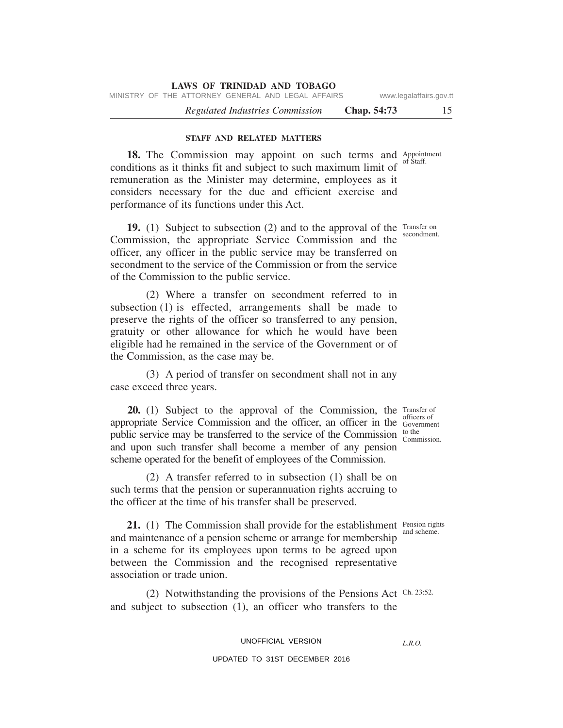MINISTRY OF THE ATTORNEY GENERAL AND LEGAL AFFAIRS www.legalaffairs.gov.tt

*Regulated Industries Commission* **Chap. 54:73** 15

#### **STAFF AND RELATED MATTERS**

18. The Commission may appoint on such terms and Appointment of Staff. conditions as it thinks fit and subject to such maximum limit of remuneration as the Minister may determine, employees as it considers necessary for the due and efficient exercise and performance of its functions under this Act.

19. (1) Subject to subsection (2) and to the approval of the Transfer on Commission, the appropriate Service Commission and the officer, any officer in the public service may be transferred on secondment to the service of the Commission or from the service of the Commission to the public service.

(2) Where a transfer on secondment referred to in subsection (1) is effected, arrangements shall be made to preserve the rights of the officer so transferred to any pension, gratuity or other allowance for which he would have been eligible had he remained in the service of the Government or of the Commission, as the case may be.

(3) A period of transfer on secondment shall not in any case exceed three years.

**20.** (1) Subject to the approval of the Commission, the Transfer of officers of appropriate Service Commission and the officer, an officer in the Government to the public service may be transferred to the service of the Commission  $_{\text{Commission}}^{\text{to the}}$ and upon such transfer shall become a member of any pension scheme operated for the benefit of employees of the Commission.

(2) A transfer referred to in subsection (1) shall be on such terms that the pension or superannuation rights accruing to the officer at the time of his transfer shall be preserved.

**21.** (1) The Commission shall provide for the establishment Pension rights and scheme. and maintenance of a pension scheme or arrange for membership in a scheme for its employees upon terms to be agreed upon between the Commission and the recognised representative association or trade union.

(2) Notwithstanding the provisions of the Pensions Act Ch. 23:52. and subject to subsection (1), an officer who transfers to the

UNOFFICIAL VERSION

UPDATED TO 31ST DECEMBER 2016

*L.R.O.* 

secondment.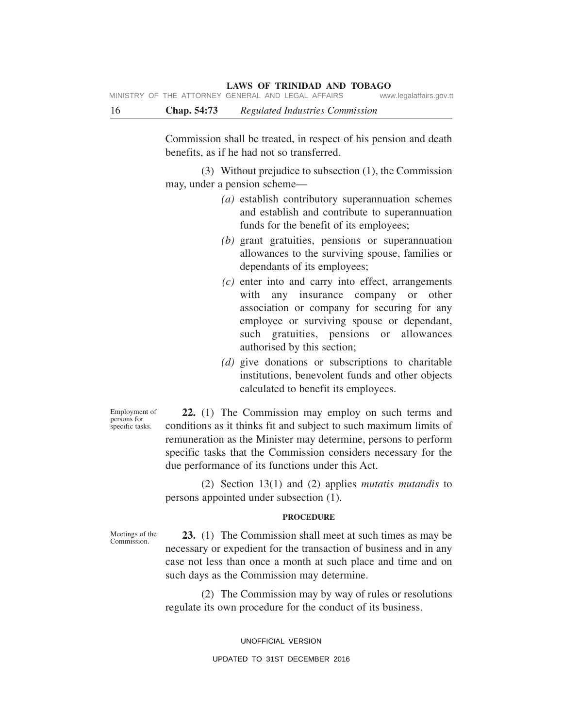MINISTRY OF THE ATTORNEY GENERAL AND LEGAL AFFAIRS www.legalaffairs.gov.tt

16 **Chap. 54:73** *Regulated Industries Commission*

Commission shall be treated, in respect of his pension and death benefits, as if he had not so transferred.

(3) Without prejudice to subsection (1), the Commission may, under a pension scheme—

- *(a)* establish contributory superannuation schemes and establish and contribute to superannuation funds for the benefit of its employees;
- *(b)* grant gratuities, pensions or superannuation allowances to the surviving spouse, families or dependants of its employees;
- *(c)* enter into and carry into effect, arrangements with any insurance company or other association or company for securing for any employee or surviving spouse or dependant, such gratuities, pensions or allowances authorised by this section;
- *(d)* give donations or subscriptions to charitable institutions, benevolent funds and other objects calculated to benefit its employees.

Employment of persons for specific tasks.

**22.** (1) The Commission may employ on such terms and conditions as it thinks fit and subject to such maximum limits of remuneration as the Minister may determine, persons to perform specific tasks that the Commission considers necessary for the due performance of its functions under this Act.

(2) Section 13(1) and (2) applies *mutatis mutandis* to persons appointed under subsection (1).

#### **PROCEDURE**

Meetings of the Commission.

**23.** (1) The Commission shall meet at such times as may be necessary or expedient for the transaction of business and in any case not less than once a month at such place and time and on such days as the Commission may determine.

(2) The Commission may by way of rules or resolutions regulate its own procedure for the conduct of its business.

> UNOFFICIAL VERSION UPDATED TO 31ST DECEMBER 2016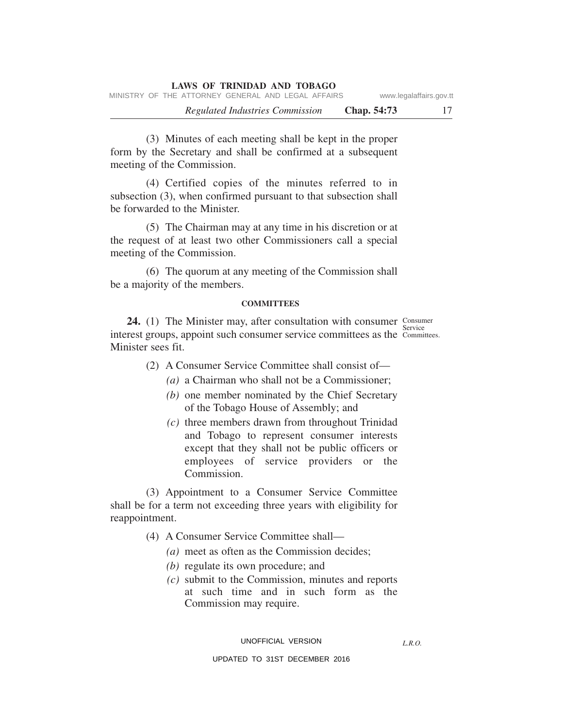(3) Minutes of each meeting shall be kept in the proper form by the Secretary and shall be confirmed at a subsequent meeting of the Commission.

(4) Certified copies of the minutes referred to in subsection (3), when confirmed pursuant to that subsection shall be forwarded to the Minister.

(5) The Chairman may at any time in his discretion or at the request of at least two other Commissioners call a special meeting of the Commission.

(6) The quorum at any meeting of the Commission shall be a majority of the members.

#### **COMMITTEES**

**24.** (1) The Minister may, after consultation with consumer Consumer Service interest groups, appoint such consumer service committees as the Committees. Minister sees fit.

(2) A Consumer Service Committee shall consist of—

- *(a)* a Chairman who shall not be a Commissioner;
- *(b)* one member nominated by the Chief Secretary of the Tobago House of Assembly; and
- *(c)* three members drawn from throughout Trinidad and Tobago to represent consumer interests except that they shall not be public officers or employees of service providers or the Commission.

(3) Appointment to a Consumer Service Committee shall be for a term not exceeding three years with eligibility for reappointment.

- (4) A Consumer Service Committee shall—
	- *(a)* meet as often as the Commission decides;
	- *(b)* regulate its own procedure; and
	- *(c)* submit to the Commission, minutes and reports at such time and in such form as the Commission may require.

*L.R.O.*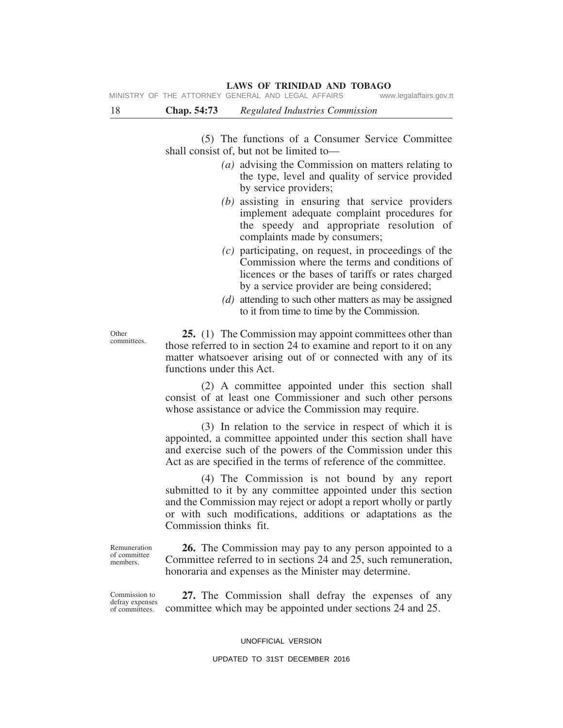18 **Chap. 54:73** *Regulated Industries Commission*

(5) The functions of a Consumer Service Committee shall consist of, but not be limited to—

- *(a)* advising the Commission on matters relating to the type, level and quality of service provided by service providers;
- *(b)* assisting in ensuring that service providers implement adequate complaint procedures for the speedy and appropriate resolution of complaints made by consumers;
- *(c)* participating, on request, in proceedings of the Commission where the terms and conditions of licences or the bases of tariffs or rates charged by a service provider are being considered;
- *(d)* attending to such other matters as may be assigned to it from time to time by the Commission.

**25.** (1) The Commission may appoint committees other than those referred to in section 24 to examine and report to it on any matter whatsoever arising out of or connected with any of its functions under this Act.

(2) A committee appointed under this section shall consist of at least one Commissioner and such other persons whose assistance or advice the Commission may require.

(3) In relation to the service in respect of which it is appointed, a committee appointed under this section shall have and exercise such of the powers of the Commission under this Act as are specified in the terms of reference of the committee.

(4) The Commission is not bound by any report submitted to it by any committee appointed under this section and the Commission may reject or adopt a report wholly or partly or with such modifications, additions or adaptations as the Commission thinks fit.

Remuneration of committee members.

**26.** The Commission may pay to any person appointed to a Committee referred to in sections 24 and 25, such remuneration, honoraria and expenses as the Minister may determine.

Commission to defray expenses of committees.

**27.** The Commission shall defray the expenses of any committee which may be appointed under sections 24 and 25.

#### UNOFFICIAL VERSION

#### UPDATED TO 31ST DECEMBER 2016

**Other** committees.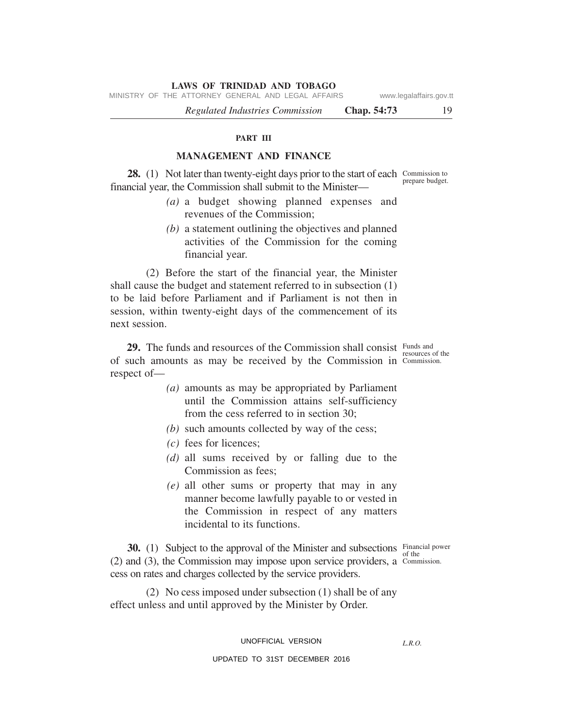MINISTRY OF THE ATTORNEY GENERAL AND LEGAL AFFAIRS www.legalaffairs.gov.tt

*Regulated Industries Commission* **Chap. 54:73** 19

#### **PART III**

#### **MANAGEMENT AND FINANCE**

28. (1) Not later than twenty-eight days prior to the start of each Commission to financial year, the Commission shall submit to the Minister—

- *(a)* a budget showing planned expenses and revenues of the Commission;
- *(b)* a statement outlining the objectives and planned activities of the Commission for the coming financial year.

(2) Before the start of the financial year, the Minister shall cause the budget and statement referred to in subsection (1) to be laid before Parliament and if Parliament is not then in session, within twenty-eight days of the commencement of its next session.

**29.** The funds and resources of the Commission shall consist Funds and of such amounts as may be received by the Commission in Commission. respect of—

- *(a)* amounts as may be appropriated by Parliament until the Commission attains self-sufficiency from the cess referred to in section 30;
- *(b)* such amounts collected by way of the cess;
- *(c)* fees for licences;
- *(d)* all sums received by or falling due to the Commission as fees;
- *(e)* all other sums or property that may in any manner become lawfully payable to or vested in the Commission in respect of any matters incidental to its functions.

**30.** (1) Subject to the approval of the Minister and subsections Financial power of the (2) and (3), the Commission may impose upon service providers, a Commission. cess on rates and charges collected by the service providers.

(2) No cess imposed under subsection (1) shall be of any effect unless and until approved by the Minister by Order.

UNOFFICIAL VERSION

*L.R.O.* 

#### UPDATED TO 31ST DECEMBER 2016

prepare budget.

resources of the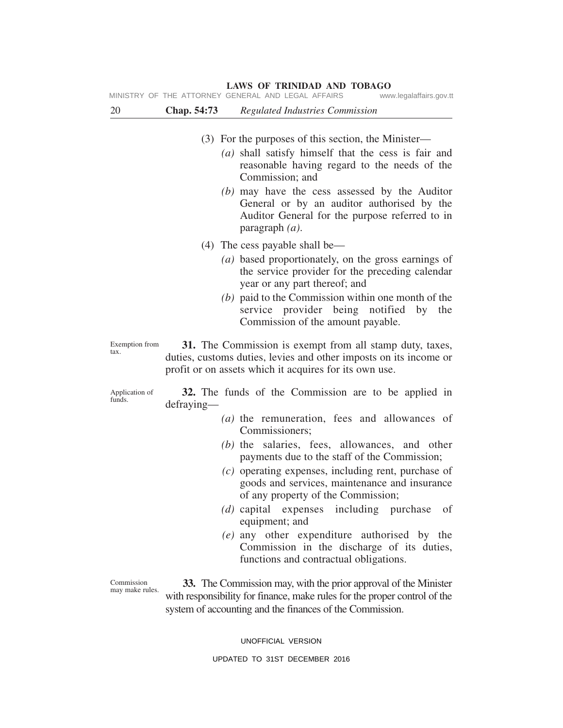(3) For the purposes of this section, the Minister— *(a)* shall satisfy himself that the cess is fair and reasonable having regard to the needs of the Commission; and *(b)* may have the cess assessed by the Auditor General or by an auditor authorised by the Auditor General for the purpose referred to in paragraph *(a)*. 20 **Chap. 54:73** *Regulated Industries Commission* MINISTRY OF THE ATTORNEY GENERAL AND LEGAL AFFAIRS www.legalaffairs.gov.tt

#### (4) The cess payable shall be—

- *(a)* based proportionately, on the gross earnings of the service provider for the preceding calendar year or any part thereof; and
- *(b)* paid to the Commission within one month of the service provider being notified by the Commission of the amount payable.

Exemption from **31.** The Commission is exempt from all stamp duty, taxes, duties, customs duties, levies and other imposts on its income or profit or on assets which it acquires for its own use.

Application of funds.

tax.

**32.** The funds of the Commission are to be applied in defraying—

- *(a)* the remuneration, fees and allowances of Commissioners;
- *(b)* the salaries, fees, allowances, and other payments due to the staff of the Commission;
- *(c)* operating expenses, including rent, purchase of goods and services, maintenance and insurance of any property of the Commission;
- *(d)* capital expenses including purchase of equipment; and
- *(e)* any other expenditure authorised by the Commission in the discharge of its duties, functions and contractual obligations.

Commission may make rules.

**33.** The Commission may, with the prior approval of the Minister with responsibility for finance, make rules for the proper control of the system of accounting and the finances of the Commission.

UNOFFICIAL VERSION

### **LAWS OF TRINIDAD AND TOBAGO**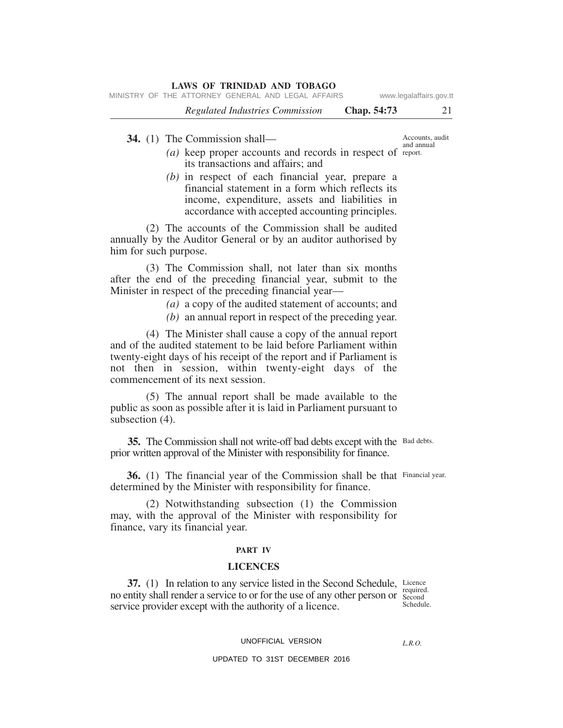| <b>LAWS OF TRINIDAD AND TOBAGO</b>                 |             |                         |
|----------------------------------------------------|-------------|-------------------------|
| MINISTRY OF THE ATTORNEY GENERAL AND LEGAL AFFAIRS |             | www.legalaffairs.gov.tt |
| Regulated Industries Commission                    | Chap. 54:73 | 21                      |
|                                                    |             |                         |

**34.** (1) The Commission shall—

- $(a)$  keep proper accounts and records in respect of report. its transactions and affairs; and
- *(b)* in respect of each financial year, prepare a financial statement in a form which reflects its income, expenditure, assets and liabilities in accordance with accepted accounting principles.

(2) The accounts of the Commission shall be audited annually by the Auditor General or by an auditor authorised by him for such purpose.

(3) The Commission shall, not later than six months after the end of the preceding financial year, submit to the Minister in respect of the preceding financial year—

- *(a)* a copy of the audited statement of accounts; and
- *(b)* an annual report in respect of the preceding year.

(4) The Minister shall cause a copy of the annual report and of the audited statement to be laid before Parliament within twenty-eight days of his receipt of the report and if Parliament is not then in session, within twenty-eight days of the commencement of its next session.

(5) The annual report shall be made available to the public as soon as possible after it is laid in Parliament pursuant to subsection  $(4)$ .

35. The Commission shall not write-off bad debts except with the Bad debts. prior written approval of the Minister with responsibility for finance.

36. (1) The financial year of the Commission shall be that Financial year. determined by the Minister with responsibility for finance.

(2) Notwithstanding subsection (1) the Commission may, with the approval of the Minister with responsibility for finance, vary its financial year.

#### **PART IV**

#### **LICENCES**

**37.** (1) In relation to any service listed in the Second Schedule, Licence required. no entity shall render a service to or for the use of any other person or second Schedule. service provider except with the authority of a licence.

UNOFFICIAL VERSION

*L.R.O.*

UPDATED TO 31ST DECEMBER 2016

Accounts, audit and annual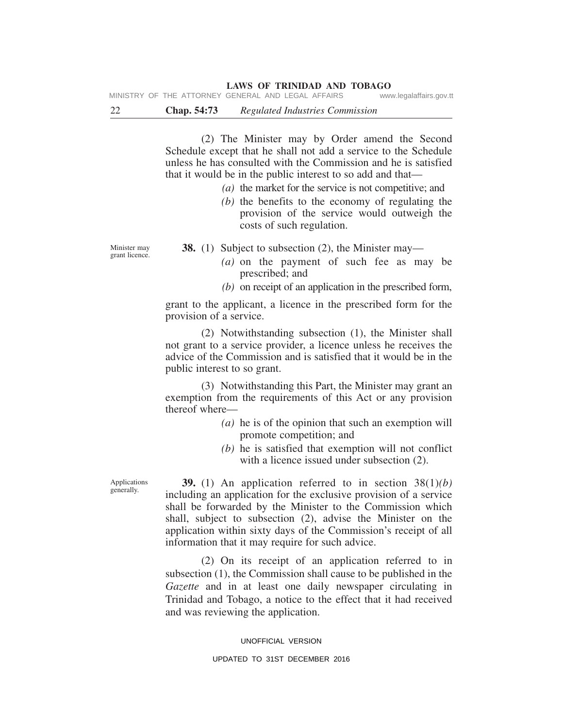22 **Chap. 54:73** *Regulated Industries Commission*

(2) The Minister may by Order amend the Second Schedule except that he shall not add a service to the Schedule unless he has consulted with the Commission and he is satisfied that it would be in the public interest to so add and that—

*(a)* the market for the service is not competitive; and

*(b)* the benefits to the economy of regulating the provision of the service would outweigh the costs of such regulation.

Minister may grant licence.

- **38.** (1) Subject to subsection (2), the Minister may—
	- *(a)* on the payment of such fee as may be prescribed; and
	- *(b)* on receipt of an application in the prescribed form,

grant to the applicant, a licence in the prescribed form for the provision of a service.

(2) Notwithstanding subsection (1), the Minister shall not grant to a service provider, a licence unless he receives the advice of the Commission and is satisfied that it would be in the public interest to so grant.

(3) Notwithstanding this Part, the Minister may grant an exemption from the requirements of this Act or any provision thereof where—

- *(a)* he is of the opinion that such an exemption will promote competition; and
- *(b)* he is satisfied that exemption will not conflict with a licence issued under subsection  $(2)$ .

Applications generally.

**39.** (1) An application referred to in section 38(1)*(b)* including an application for the exclusive provision of a service shall be forwarded by the Minister to the Commission which shall, subject to subsection (2), advise the Minister on the application within sixty days of the Commission's receipt of all information that it may require for such advice.

(2) On its receipt of an application referred to in subsection (1), the Commission shall cause to be published in the *Gazette* and in at least one daily newspaper circulating in Trinidad and Tobago, a notice to the effect that it had received and was reviewing the application.

#### UNOFFICIAL VERSION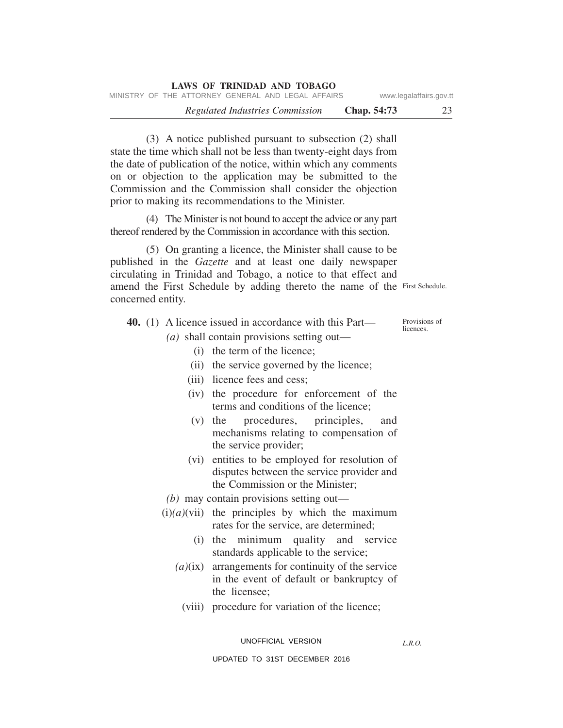| <b>LAWS OF TRINIDAD AND TOBAGO</b>                 |                    |                         |
|----------------------------------------------------|--------------------|-------------------------|
| MINISTRY OF THE ATTORNEY GENERAL AND LEGAL AFFAIRS |                    | www.legalaffairs.gov.tt |
| Regulated Industries Commission                    | <b>Chap.</b> 54:73 | 23                      |

(3) A notice published pursuant to subsection (2) shall state the time which shall not be less than twenty-eight days from the date of publication of the notice, within which any comments on or objection to the application may be submitted to the Commission and the Commission shall consider the objection prior to making its recommendations to the Minister.

(4) The Minister is not bound to accept the advice or any part thereof rendered by the Commission in accordance with this section.

amend the First Schedule by adding thereto the name of the First Schedule. (5) On granting a licence, the Minister shall cause to be published in the *Gazette* and at least one daily newspaper circulating in Trinidad and Tobago, a notice to that effect and concerned entity.

|  | <b>40.</b> (1) A licence issued in accordance with this Part— | Provisions of<br>licences. |
|--|---------------------------------------------------------------|----------------------------|
|  | ( <i>a</i> ) shall contain provisions setting out—            |                            |

- (i) the term of the licence;
- (ii) the service governed by the licence;
- (iii) licence fees and cess;
- (iv) the procedure for enforcement of the terms and conditions of the licence;
- (v) the procedures, principles, and mechanisms relating to compensation of the service provider;
- (vi) entities to be employed for resolution of disputes between the service provider and the Commission or the Minister;
- *(b)* may contain provisions setting out—
- $(i)(a)(vii)$  the principles by which the maximum rates for the service, are determined;
	- (i) the minimum quality and service standards applicable to the service;
	- *(a)*(ix) arrangements for continuity of the service in the event of default or bankruptcy of the licensee;
		- (viii) procedure for variation of the licence;

UNOFFICIAL VERSION

*L.R.O.*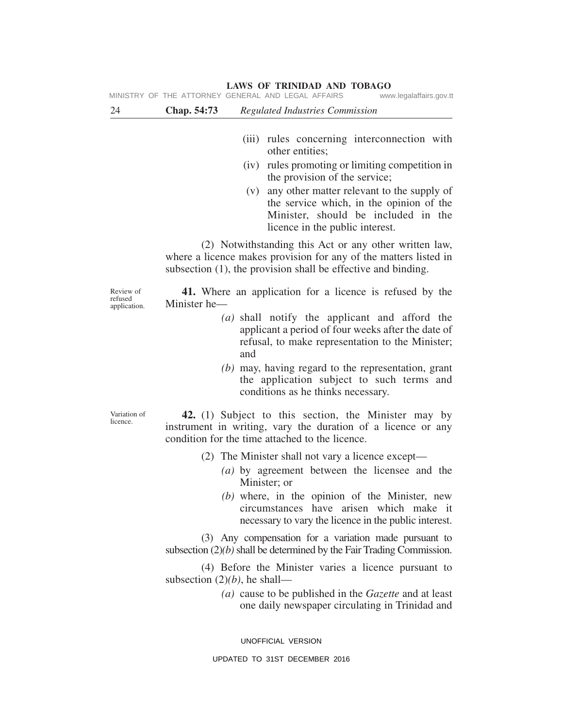| 24                                   | Chap. 54:73                     | <b>Regulated Industries Commission</b>                                                                                                                                                         |
|--------------------------------------|---------------------------------|------------------------------------------------------------------------------------------------------------------------------------------------------------------------------------------------|
|                                      |                                 |                                                                                                                                                                                                |
|                                      |                                 | (iii) rules concerning interconnection with<br>other entities;                                                                                                                                 |
|                                      |                                 | (iv) rules promoting or limiting competition in<br>the provision of the service;                                                                                                               |
|                                      |                                 | any other matter relevant to the supply of<br>(v)<br>the service which, in the opinion of the<br>Minister, should be included in the<br>licence in the public interest.                        |
|                                      |                                 | (2) Notwithstanding this Act or any other written law,<br>where a licence makes provision for any of the matters listed in<br>subsection $(1)$ , the provision shall be effective and binding. |
| Review of<br>refused<br>application. | Minister he-                    | 41. Where an application for a licence is refused by the                                                                                                                                       |
|                                      |                                 | (a) shall notify the applicant and afford the<br>applicant a period of four weeks after the date of<br>refusal, to make representation to the Minister;<br>and                                 |
|                                      |                                 | $(b)$ may, having regard to the representation, grant<br>the application subject to such terms and<br>conditions as he thinks necessary.                                                       |
| Variation of<br>licence.             |                                 | 42. (1) Subject to this section, the Minister may by<br>instrument in writing, vary the duration of a licence or any<br>condition for the time attached to the licence.                        |
|                                      |                                 | (2) The Minister shall not vary a licence except-                                                                                                                                              |
|                                      |                                 | (a) by agreement between the licensee and the<br>Minister; or                                                                                                                                  |
|                                      |                                 | $(b)$ where, in the opinion of the Minister, new<br>circumstances have arisen which make it<br>necessary to vary the licence in the public interest.                                           |
|                                      |                                 | (3) Any compensation for a variation made pursuant to<br>subsection $(2)(b)$ shall be determined by the Fair Trading Commission.                                                               |
|                                      | subsection $(2)(b)$ , he shall— | (4) Before the Minister varies a licence pursuant to                                                                                                                                           |
|                                      |                                 | (a) cause to be published in the Gazette and at least<br>one daily newspaper circulating in Trinidad and                                                                                       |

UNOFFICIAL VERSION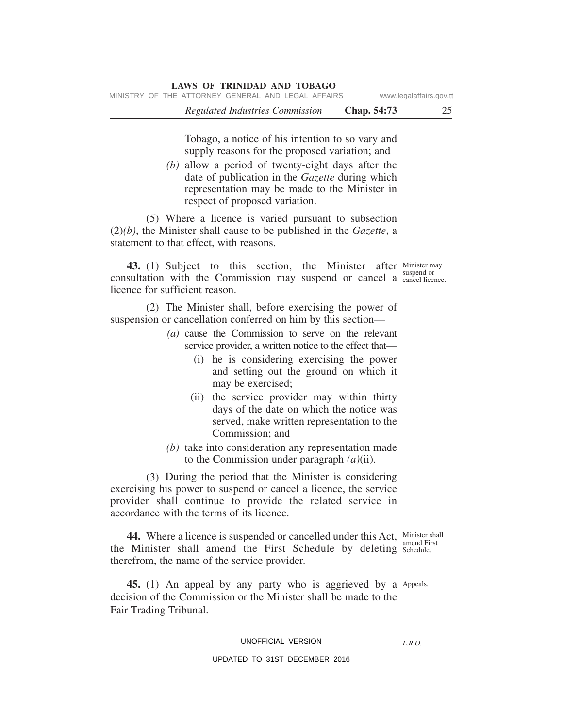Tobago, a notice of his intention to so vary and supply reasons for the proposed variation; and

*(b)* allow a period of twenty-eight days after the date of publication in the *Gazette* during which representation may be made to the Minister in respect of proposed variation.

(5) Where a licence is varied pursuant to subsection (2)*(b)*, the Minister shall cause to be published in the *Gazette*, a statement to that effect, with reasons.

**43.** (1) Subject to this section, the Minister after Minister may consultation with the Commission may suspend or cancel a cancel licence. licence for sufficient reason.

suspend or

(2) The Minister shall, before exercising the power of suspension or cancellation conferred on him by this section—

- *(a)* cause the Commission to serve on the relevant service provider, a written notice to the effect that—
	- (i) he is considering exercising the power and setting out the ground on which it may be exercised;
	- (ii) the service provider may within thirty days of the date on which the notice was served, make written representation to the Commission; and
- *(b)* take into consideration any representation made to the Commission under paragraph *(a)*(ii).

(3) During the period that the Minister is considering exercising his power to suspend or cancel a licence, the service provider shall continue to provide the related service in accordance with the terms of its licence.

**44.** Where a licence is suspended or cancelled under this Act, Minister shall amend First the Minister shall amend the First Schedule by deleting Schedule. therefrom, the name of the service provider.

45. (1) An appeal by any party who is aggrieved by a Appeals. decision of the Commission or the Minister shall be made to the Fair Trading Tribunal.

#### UNOFFICIAL VERSION

*L.R.O.*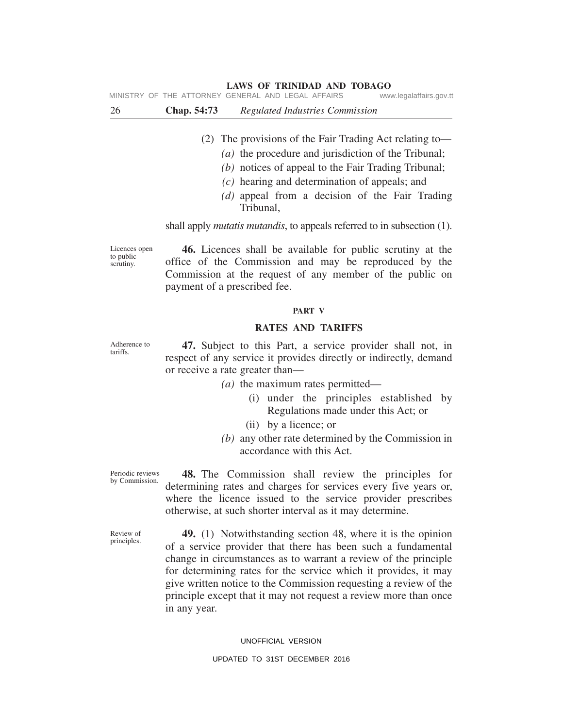MINISTRY OF THE ATTORNEY GENERAL AND LEGAL AFFAIRS www.legalaffairs.gov.tt

| 26 | <b>Chap.</b> 54:73 |  |  | Regulated Industries Commission |
|----|--------------------|--|--|---------------------------------|
|----|--------------------|--|--|---------------------------------|

- (2) The provisions of the Fair Trading Act relating to—
	- *(a)* the procedure and jurisdiction of the Tribunal;
	- *(b)* notices of appeal to the Fair Trading Tribunal;
	- *(c)* hearing and determination of appeals; and
	- *(d)* appeal from a decision of the Fair Trading Tribunal,

shall apply *mutatis mutandis*, to appeals referred to in subsection (1).

Licences open to public scrutiny.

**46.** Licences shall be available for public scrutiny at the office of the Commission and may be reproduced by the Commission at the request of any member of the public on payment of a prescribed fee.

#### **PART V**

#### **RATES AND TARIFFS**

**47.** Subject to this Part, a service provider shall not, in respect of any service it provides directly or indirectly, demand or receive a rate greater than—

- *(a)* the maximum rates permitted—
	- (i) under the principles established by Regulations made under this Act; or
	- (ii) by a licence; or
- *(b)* any other rate determined by the Commission in accordance with this Act.

Periodic reviews by Commission.

**48.** The Commission shall review the principles for determining rates and charges for services every five years or, where the licence issued to the service provider prescribes otherwise, at such shorter interval as it may determine.

Review of principles.

**49.** (1) Notwithstanding section 48, where it is the opinion of a service provider that there has been such a fundamental change in circumstances as to warrant a review of the principle for determining rates for the service which it provides, it may give written notice to the Commission requesting a review of the principle except that it may not request a review more than once in any year.

#### UNOFFICIAL VERSION

#### UPDATED TO 31ST DECEMBER 2016

Adherence to tariffs.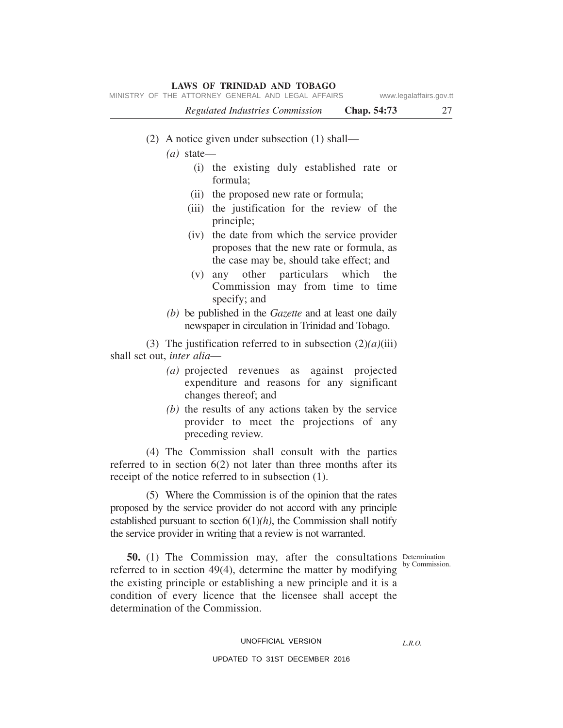|                                    | MINISTRY OF THE ATTORNEY GENERAL AND LEGAL AFFAIRS                                                                                     |             | www.legalaffairs.gov.tt |
|------------------------------------|----------------------------------------------------------------------------------------------------------------------------------------|-------------|-------------------------|
|                                    | Regulated Industries Commission                                                                                                        | Chap. 54:73 | 27                      |
|                                    | (2) A notice given under subsection $(1)$ shall—                                                                                       |             |                         |
| $(a)$ state—                       |                                                                                                                                        |             |                         |
|                                    | (i) the existing duly established rate or<br>formula:                                                                                  |             |                         |
|                                    | (ii) the proposed new rate or formula;                                                                                                 |             |                         |
|                                    | (iii) the justification for the review of the<br>principle;                                                                            |             |                         |
|                                    | (iv) the date from which the service provider<br>proposes that the new rate or formula, as<br>the case may be, should take effect; and |             |                         |
| (V)                                | any other particulars which the<br>Commission may from time to time<br>specify; and                                                    |             |                         |
|                                    | (b) be published in the Gazette and at least one daily<br>newspaper in circulation in Trinidad and Tobago.                             |             |                         |
| shall set out, <i>inter alia</i> — | (3) The justification referred to in subsection $(2)(a)(iii)$                                                                          |             |                         |
|                                    | (a) projected revenues as against projected<br>expenditure and reasons for any significant<br>changes thereof; and                     |             |                         |
|                                    | (b) the results of any actions taken by the service<br>provider to meet the projections of any<br>preceding review.                    |             |                         |

(4) The Commission shall consult with the parties referred to in section 6(2) not later than three months after its receipt of the notice referred to in subsection (1).

(5) Where the Commission is of the opinion that the rates proposed by the service provider do not accord with any principle established pursuant to section  $6(1)(h)$ , the Commission shall notify the service provider in writing that a review is not warranted.

by Commission.

**50.** (1) The Commission may, after the consultations Determination referred to in section 49(4), determine the matter by modifying the existing principle or establishing a new principle and it is a condition of every licence that the licensee shall accept the determination of the Commission.

#### UNOFFICIAL VERSION

*L.R.O.*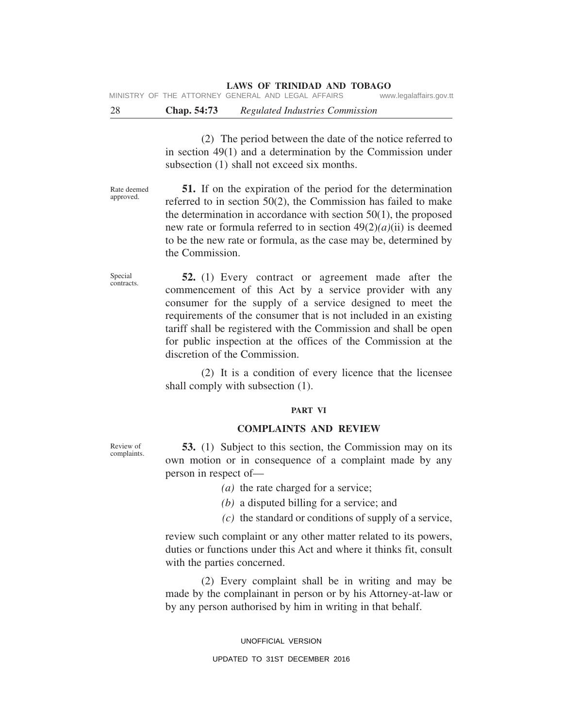MINISTRY OF THE ATTORNEY GENERAL AND LEGAL AFFAIRS www.legalaffairs.gov.tt

28 **Chap. 54:73** *Regulated Industries Commission*

(2) The period between the date of the notice referred to in section 49(1) and a determination by the Commission under subsection (1) shall not exceed six months.

Rate deemed approved.

**51.** If on the expiration of the period for the determination referred to in section 50(2), the Commission has failed to make the determination in accordance with section  $50(1)$ , the proposed new rate or formula referred to in section 49(2)*(a)*(ii) is deemed to be the new rate or formula, as the case may be, determined by the Commission.

Special contracts.

**52.** (1) Every contract or agreement made after the commencement of this Act by a service provider with any consumer for the supply of a service designed to meet the requirements of the consumer that is not included in an existing tariff shall be registered with the Commission and shall be open for public inspection at the offices of the Commission at the discretion of the Commission.

(2) It is a condition of every licence that the licensee shall comply with subsection (1).

#### **PART VI**

#### **COMPLAINTS AND REVIEW**

**53.** (1) Subject to this section, the Commission may on its own motion or in consequence of a complaint made by any person in respect of—

- *(a)* the rate charged for a service;
- *(b)* a disputed billing for a service; and
- *(c)* the standard or conditions of supply of a service,

review such complaint or any other matter related to its powers, duties or functions under this Act and where it thinks fit, consult with the parties concerned.

(2) Every complaint shall be in writing and may be made by the complainant in person or by his Attorney-at-law or by any person authorised by him in writing in that behalf.

> UNOFFICIAL VERSION UPDATED TO 31ST DECEMBER 2016

Review of complaints.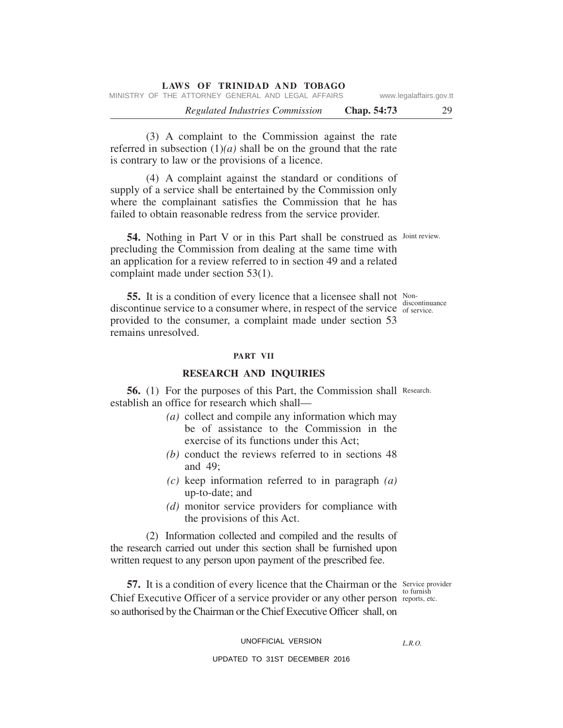*Regulated Industries Commission* **Chap. 54:73** 29 **LAWS OF TRINIDAD AND TOBAGO** MINISTRY OF THE ATTORNEY GENERAL AND LEGAL AFFAIRS www.legalaffairs.gov.tt

(3) A complaint to the Commission against the rate referred in subsection  $(1)(a)$  shall be on the ground that the rate is contrary to law or the provisions of a licence.

(4) A complaint against the standard or conditions of supply of a service shall be entertained by the Commission only where the complainant satisfies the Commission that he has failed to obtain reasonable redress from the service provider.

54. Nothing in Part V or in this Part shall be construed as Joint review. precluding the Commission from dealing at the same time with an application for a review referred to in section 49 and a related complaint made under section 53(1).

**55.** It is a condition of every licence that a licensee shall not Nondiscontinue service to a consumer where, in respect of the service  $\frac{d\textrm{d}s}{dt}$  of service. provided to the consumer, a complaint made under section 53 remains unresolved.

#### **PART VII**

#### **RESEARCH AND INQUIRIES**

56. (1) For the purposes of this Part, the Commission shall Research. establish an office for research which shall—

- *(a)* collect and compile any information which may be of assistance to the Commission in the exercise of its functions under this Act;
- *(b)* conduct the reviews referred to in sections 48 and 49;
- *(c)* keep information referred to in paragraph *(a)* up-to-date; and
- *(d)* monitor service providers for compliance with the provisions of this Act.

(2) Information collected and compiled and the results of the research carried out under this section shall be furnished upon written request to any person upon payment of the prescribed fee.

57. It is a condition of every licence that the Chairman or the Service provider Chief Executive Officer of a service provider or any other person reports, etc. so authorised by the Chairman or the Chief Executive Officer shall, on

to furnish

UNOFFICIAL VERSION

*L.R.O.* 

#### UPDATED TO 31ST DECEMBER 2016

discontinuance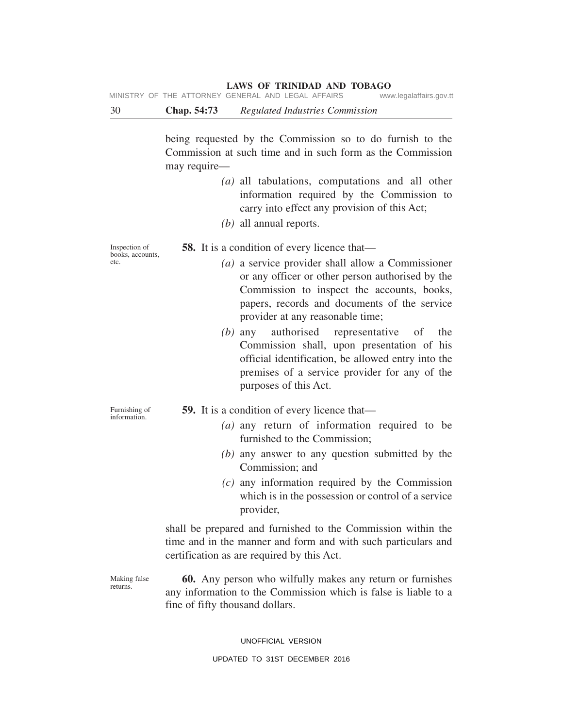MINISTRY OF THE ATTORNEY GENERAL AND LEGAL AFFAIRS www.legalaffairs.gov.tt

30 **Chap. 54:73** *Regulated Industries Commission*

being requested by the Commission so to do furnish to the Commission at such time and in such form as the Commission may require—

- *(a)* all tabulations, computations and all other information required by the Commission to carry into effect any provision of this Act;
- *(b)* all annual reports.

Inspection of books, accounts, etc.

Furnishing of information.

**58.** It is a condition of every licence that—

- *(a)* a service provider shall allow a Commissioner or any officer or other person authorised by the Commission to inspect the accounts, books, papers, records and documents of the service provider at any reasonable time;
- *(b)* any authorised representative of the Commission shall, upon presentation of his official identification, be allowed entry into the premises of a service provider for any of the purposes of this Act.
- **59.** It is a condition of every licence that—
	- *(a)* any return of information required to be furnished to the Commission;
	- *(b)* any answer to any question submitted by the Commission; and
	- *(c)* any information required by the Commission which is in the possession or control of a service provider,

shall be prepared and furnished to the Commission within the time and in the manner and form and with such particulars and certification as are required by this Act.

Making false returns.

**60.** Any person who wilfully makes any return or furnishes any information to the Commission which is false is liable to a fine of fifty thousand dollars.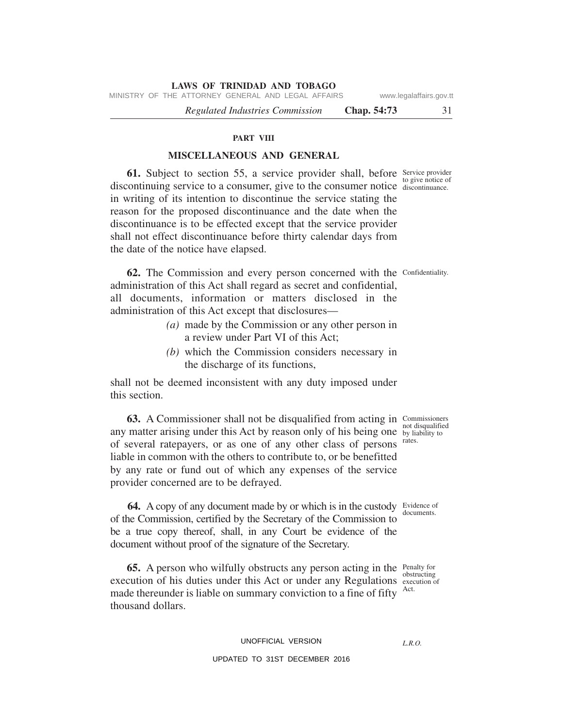MINISTRY OF THE ATTORNEY GENERAL AND LEGAL AFFAIRS www.legalaffairs.gov.tt

*Regulated Industries Commission* **Chap. 54:73** 31

#### **PART VIII**

#### **MISCELLANEOUS AND GENERAL**

**61.** Subject to section 55, a service provider shall, before Service provider to give notice of discontinuing service to a consumer, give to the consumer notice discontinuance. in writing of its intention to discontinue the service stating the reason for the proposed discontinuance and the date when the discontinuance is to be effected except that the service provider shall not effect discontinuance before thirty calendar days from the date of the notice have elapsed.

62. The Commission and every person concerned with the Confidentiality. administration of this Act shall regard as secret and confidential, all documents, information or matters disclosed in the administration of this Act except that disclosures—

- *(a)* made by the Commission or any other person in a review under Part VI of this Act;
- *(b)* which the Commission considers necessary in the discharge of its functions,

shall not be deemed inconsistent with any duty imposed under this section.

**63.** A Commissioner shall not be disqualified from acting in Commissioners any matter arising under this Act by reason only of his being one by liability to of several ratepayers, or as one of any other class of persons liable in common with the others to contribute to, or be benefitted by any rate or fund out of which any expenses of the service provider concerned are to be defrayed.

**64.** A copy of any document made by or which is in the custody Evidence of of the Commission, certified by the Secretary of the Commission to be a true copy thereof, shall, in any Court be evidence of the document without proof of the signature of the Secretary.

**65.** A person who wilfully obstructs any person acting in the Penalty for execution of his duties under this Act or under any Regulations execution of made thereunder is liable on summary conviction to a fine of fifty <sup>Act.</sup> thousand dollars.

#### UNOFFICIAL VERSION

#### UPDATED TO 31ST DECEMBER 2016

not disqualified rates.

documents.

obstructing

*L.R.O.*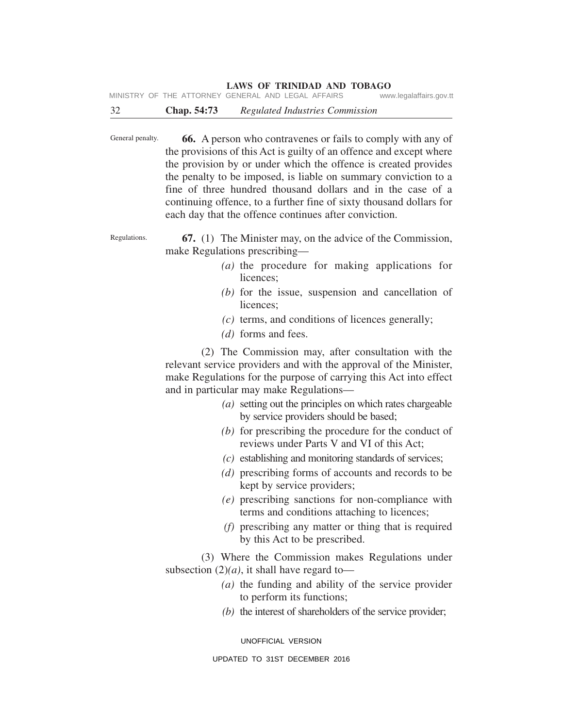MINISTRY OF THE ATTORNEY GENERAL AND LEGAL AFFAIRS www.legalaffairs.gov.tt

General penalty. **66.** A person who contravenes or fails to comply with any of the provisions of this Act is guilty of an offence and except where the provision by or under which the offence is created provides the penalty to be imposed, is liable on summary conviction to a fine of three hundred thousand dollars and in the case of a continuing offence, to a further fine of sixty thousand dollars for each day that the offence continues after conviction.

Regulations. **67.** (1) The Minister may, on the advice of the Commission, make Regulations prescribing—

- *(a)* the procedure for making applications for licences;
- *(b)* for the issue, suspension and cancellation of licences;
- *(c)* terms, and conditions of licences generally;
- *(d)* forms and fees.

(2) The Commission may, after consultation with the relevant service providers and with the approval of the Minister, make Regulations for the purpose of carrying this Act into effect and in particular may make Regulations—

- *(a)* setting out the principles on which rates chargeable by service providers should be based;
- *(b)* for prescribing the procedure for the conduct of reviews under Parts V and VI of this Act;
- *(c)* establishing and monitoring standards of services;
- *(d)* prescribing forms of accounts and records to be kept by service providers;
- *(e)* prescribing sanctions for non-compliance with terms and conditions attaching to licences;
- *(f)* prescribing any matter or thing that is required by this Act to be prescribed.

(3) Where the Commission makes Regulations under subsection  $(2)(a)$ , it shall have regard to—

- *(a)* the funding and ability of the service provider to perform its functions;
- *(b)* the interest of shareholders of the service provider;

UNOFFICIAL VERSION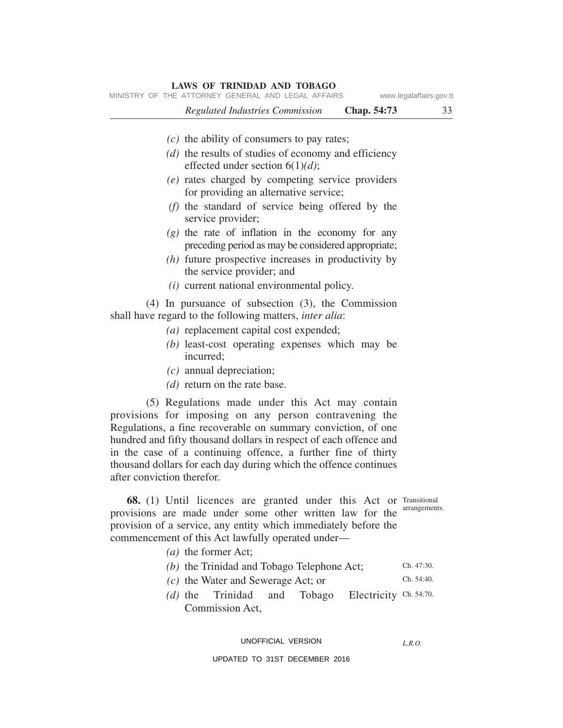| <b>LAWS OF TRINIDAD AND TOBAGO</b><br>MINISTRY OF THE ATTORNEY GENERAL AND LEGAL AFFAIRS<br>www.legalaffairs.gov.tt                                                                                                                                                                                                                                                                                                                                                                                                |                          |  |
|--------------------------------------------------------------------------------------------------------------------------------------------------------------------------------------------------------------------------------------------------------------------------------------------------------------------------------------------------------------------------------------------------------------------------------------------------------------------------------------------------------------------|--------------------------|--|
| <b>Regulated Industries Commission</b><br>Chap. 54:73                                                                                                                                                                                                                                                                                                                                                                                                                                                              | 33                       |  |
| $(c)$ the ability of consumers to pay rates;<br>(d) the results of studies of economy and efficiency<br>effected under section $6(1)(d)$ ;<br>(e) rates charged by competing service providers<br>for providing an alternative service;<br>(f) the standard of service being offered by the<br>service provider;<br>$(g)$ the rate of inflation in the economy for any<br>preceding period as may be considered appropriate;<br>$(h)$ future prospective increases in productivity by<br>the service provider; and |                          |  |
| $(i)$ current national environmental policy.<br>$(4)$ In pursuance of subsection $(3)$ , the Commission<br>shall have regard to the following matters, <i>inter alia</i> :<br>(a) replacement capital cost expended;<br>(b) least-cost operating expenses which may be<br>incurred;<br>$(c)$ annual depreciation;<br>(d) return on the rate base.                                                                                                                                                                  |                          |  |
| (5) Regulations made under this Act may contain<br>provisions for imposing on any person contravening the<br>Regulations, a fine recoverable on summary conviction, of one<br>hundred and fifty thousand dollars in respect of each offence and<br>in the case of a continuing offence, a further fine of thirty<br>thousand dollars for each day during which the offence continues<br>after conviction therefor.                                                                                                 |                          |  |
| 68. (1) Until licences are granted under this Act or Transitional<br>provisions are made under some other written law for the<br>provision of a service, any entity which immediately before the<br>commencement of this Act lawfully operated under—<br>$(a)$ the former Act;                                                                                                                                                                                                                                     | arrangements.            |  |
| (b) the Trinidad and Tobago Telephone Act;<br>$(c)$ the Water and Sewerage Act; or<br>Trinidad<br>Electricity Ch. 54:70.<br>Tobago<br>$(d)$ the<br>and<br>Commission Act,                                                                                                                                                                                                                                                                                                                                          | Ch. 47:30.<br>Ch. 54:40. |  |

#### UNOFFICIAL VERSION

*L.R.O.*